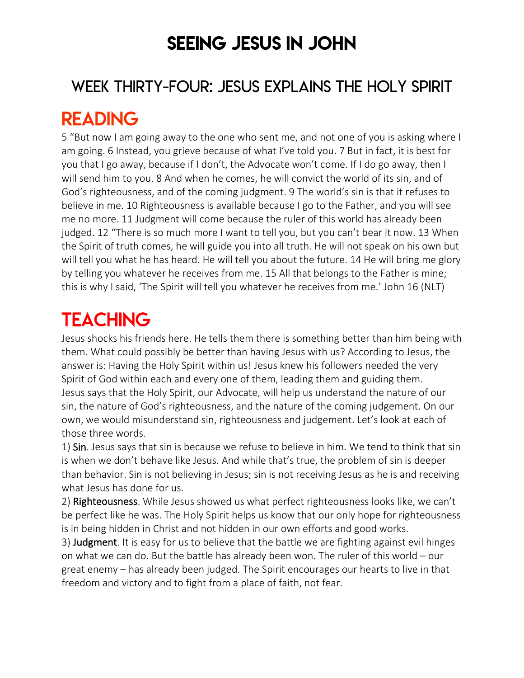## SEEING JESUS IN JOHN

### WEEK THIRTY-FOUR: JESUS EXPLAINS THE HOLY SPIRIT

## READING

5 "But now I am going away to the one who sent me, and not one of you is asking where I am going. 6 Instead, you grieve because of what I've told you. 7 But in fact, it is best for you that I go away, because if I don't, the Advocate won't come. If I do go away, then I will send him to you. 8 And when he comes, he will convict the world of its sin, and of God's righteousness, and of the coming judgment. 9 The world's sin is that it refuses to believe in me. 10 Righteousness is available because I go to the Father, and you will see me no more. 11 Judgment will come because the ruler of this world has already been judged. 12 "There is so much more I want to tell you, but you can't bear it now. 13 When the Spirit of truth comes, he will guide you into all truth. He will not speak on his own but will tell you what he has heard. He will tell you about the future. 14 He will bring me glory by telling you whatever he receives from me. 15 All that belongs to the Father is mine; this is why I said, 'The Spirit will tell you whatever he receives from me.' John 16 (NLT)

# **TEACHING**

Jesus shocks his friends here. He tells them there is something better than him being with them. What could possibly be better than having Jesus with us? According to Jesus, the answer is: Having the Holy Spirit within us! Jesus knew his followers needed the very Spirit of God within each and every one of them, leading them and guiding them. Jesus says that the Holy Spirit, our Advocate, will help us understand the nature of our sin, the nature of God's righteousness, and the nature of the coming judgement. On our own, we would misunderstand sin, righteousness and judgement. Let's look at each of those three words.

1) Sin. Jesus says that sin is because we refuse to believe in him. We tend to think that sin is when we don't behave like Jesus. And while that's true, the problem of sin is deeper than behavior. Sin is not believing in Jesus; sin is not receiving Jesus as he is and receiving what Jesus has done for us.

2) Righteousness. While Jesus showed us what perfect righteousness looks like, we can't be perfect like he was. The Holy Spirit helps us know that our only hope for righteousness is in being hidden in Christ and not hidden in our own efforts and good works.

3) Judgment. It is easy for us to believe that the battle we are fighting against evil hinges on what we can do. But the battle has already been won. The ruler of this world – our great enemy – has already been judged. The Spirit encourages our hearts to live in that freedom and victory and to fight from a place of faith, not fear.